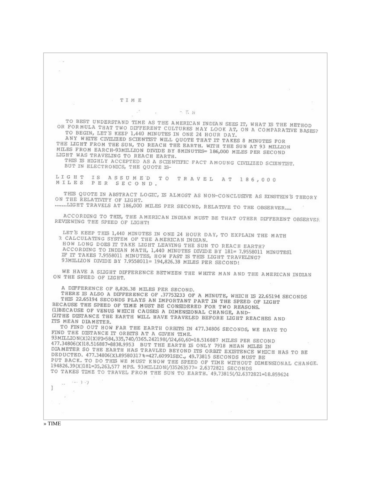TIME  $\sim$   $\frac{1}{2}$   $\frac{1}{2}$   $\frac{1}{2}$   $\frac{1}{2}$   $\frac{1}{2}$   $\frac{1}{2}$   $\frac{1}{2}$   $\frac{1}{2}$   $\frac{1}{2}$   $\frac{1}{2}$   $\frac{1}{2}$   $\frac{1}{2}$   $\frac{1}{2}$   $\frac{1}{2}$   $\frac{1}{2}$   $\frac{1}{2}$   $\frac{1}{2}$   $\frac{1}{2}$   $\frac{1}{2}$   $\frac{1}{2}$   $\frac{1}{2}$   $\frac{1}{$ TO BEST UNDERSTAND TIME AS THE AMERICAN INDIAN SEES IT, WHAT IS THE METHOD OR FORMULA THAT TWO DIFFERENT CULTURES MAY LOOK AT, ON A COMPARATIVE BASES? TO BEGIN, LET'S KEEP 1,440 MINUTES IN ONE 24 HOUR DAY. ANY WHITE CIVILIZED SCIENTIST WILL QUOTE THAT IT TAKES 8 MINUTES FOR THE LIGHT FROM THE SUN TO REACH THE BARTH, WITH THE SUN AT 93 MILLION MILES FROM EARCH-93MILLION DIVIDE BY 8MINUTES- 186,000 MILES PER SECOND LIGHT WAS TRAVELING TO REACH EARTH. THIS IS HIGHLY ACCEPTED AS A SCIENTIFIC FACT AMOUNG CIVILIZED SCIENTIST. BUT IN ELECTRONICS, THE QUOTE IS-LIGHT IS ASSUMED TO TRAVEL AT 186,000<br>MILES PER SECOND. THIS QUOTE IN ABSTRACT LOGIC, IS ALMOST AS NON-CONCLUSIVE AS EINSTEIN'S THEORY ON THE RELATIVITY OF LIGHT. ......LIGHT TRAVELS AT 186,000 MILES PER SECOND, RELATIVE TO THE OBSERVER.... ACCORDING TO THIS, THE AMERICAN INDIAN MUST BE THAT OTHER DIFFERENT OBSERVER REVIEWING THE SPEED OF LIGHT! LET'S KEEP THIS 1,440 MINUTES IN ONE 24 HOUR DAY, TO EXPLAIN THE MATH R CALCULATING SYSTEM OF THE AMERICAN INDIAN. HOW LONG DOES IT TAKE LIGHT LEAVING THE SUN TO REACH EARTH? ACCORDING TO INDIAN MATH, 1,440 MINUTES DIVIDE BY 181= 7.9558011 MINUTES1 IF IT TAKES 7.9558011 MINUTES, HOW FAST IS THIS LIGHT TRAVELING? 93MILLION DIVIDE BY 7.9558011= 194,826.38 MILES PER SECOND! WE HAVE A SLIGHT DIFFERENCE BETWEEN THE WHITE MAN AND THE AMERICAN INDIAN ON THE SPEED OF LIGHT. A DIFFERENCE OF 8,826.38 MILES PER SECOND. THERE IS ALSO A DIFFERENCE OF 37753233 OF A MINUTE, WHICH IS 22.65194 SECONDS THIS 22,65194 SECONDS PLAYS AN IMPORTANT PART IN THE SPEED OF LIGHT BECAUSE THE SPEED OF TIME MUST BE CONSIDERED FOR TWO REASONS. (1) BECAUSE OF VENUS WHICH CAUSES A DIMENSIONAL CHANGE, AND-(2)THE DISTANCE THE EARTH WILL HAVE TRAVELED BEFORE LIGHT REACHES AND ITS MEAN DIAMETER. TO FIND OUT HOW FAR THE EARTH ORBITS IN 477.34806 SECONDS, WE HAVE TO FIND THE DISTANCE IT ORBITS AT A GIVEN TIME. 93MILLION(X)2(X)PI=584,335,740/)365.242198(/)24,60,60=18.516887 MILES PER SECOND 477.34806(X)18.516887=8838.9953 BUT THE EARTH IS ONLY 7918 MEAN MILES IN DIAMETER SO THE EARTH HAS TRAVLED BEYOND ITS ORBIT EXISTENCE WHICH HAS TO BE DEDUCTED. 477.34806(X).895803173=427.609915EC., 49.73815 SECONDS MUST BE PUT BACK. TO DO THIS WE MUST KNOW THE SPEED OF TIME WITHOUT DIMENSIONAL CHANGE. 194826.39(X)181=35,263,577 MPS. 93MILLION(/)35263577= 2.6372821 SECONDS TO TAKES TIME TO TRAVEL FROM THE SUN TO EARTH. 49.73815(/2.6372821=18.859624  $... 1.7$  $\sim 10^{-1}$ -1  $\langle \cdot | \cdot \rangle$  $\mathbb{R}^n$  .

» TIME